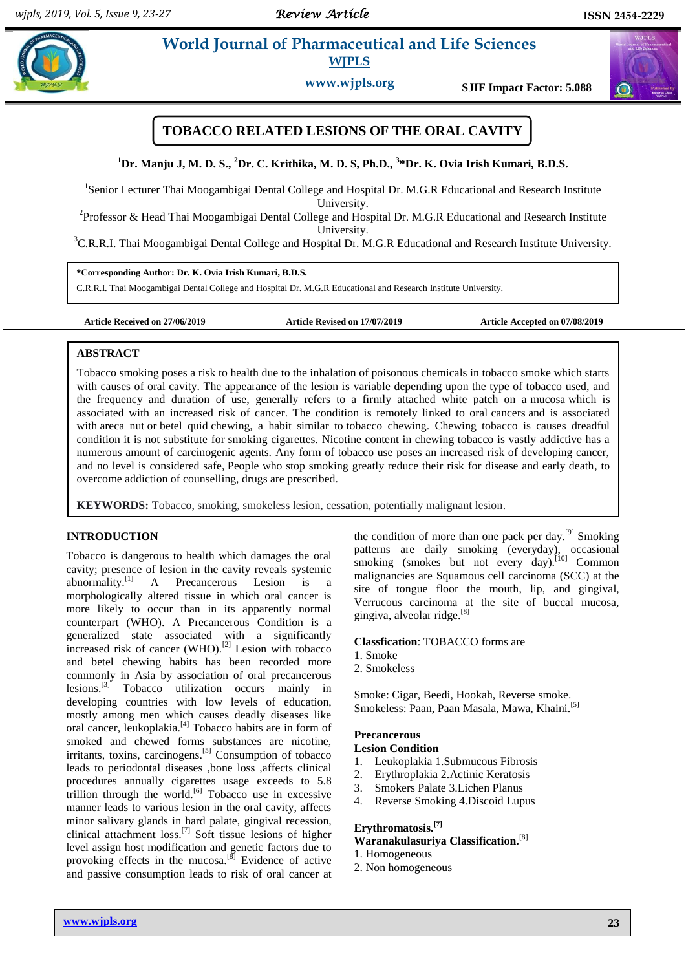$\bigodot$ 

# **Property all and Sciences Pharmaceutical and Life Sciences WJPLS**

**www.wjpls.org SJIF Impact Factor: 5.088**



**<sup>1</sup>Dr. Manju J, M. D. S., <sup>2</sup>Dr. C. Krithika, M. D. S, Ph.D., <sup>3</sup> \*Dr. K. Ovia Irish Kumari, B.D.S.**

<sup>1</sup>Senior Lecturer Thai Moogambigai Dental College and Hospital Dr. M.G.R Educational and Research Institute University.

<sup>2</sup> Professor & Head Thai Moogambigai Dental College and Hospital Dr. M.G.R Educational and Research Institute University.

<sup>3</sup>C.R.R.I. Thai Moogambigai Dental College and Hospital Dr. M.G.R Educational and Research Institute University.

**\*Corresponding Author: Dr. K. Ovia Irish Kumari, B.D.S.**

C.R.R.I. Thai Moogambigai Dental College and Hospital Dr. M.G.R Educational and Research Institute University.

**Article Received on 27/06/2019 Article Revised on 17/07/2019 Article Accepted on 07/08/2019**

### **ABSTRACT**

Tobacco smoking poses a risk to health due to the inhalation of poisonous chemicals in tobacco smoke which starts with causes of oral cavity. The appearance of the lesion is variable depending upon the type of tobacco used, and the frequency and duration of use, generally refers to a firmly attached white patch on a mucosa which is associated with an increased risk of cancer. The condition is remotely linked to oral [cancers](https://en.wikipedia.org/wiki/Oral_cancer) and is associated with [areca nut](https://en.wikipedia.org/wiki/Areca_nut) or [betel quid](https://en.wikipedia.org/wiki/Betel) chewing, a habit similar to [tobacco chewing.](https://en.wikipedia.org/wiki/Chewing_tobacco) Chewing tobacco is causes dreadful condition it is not substitute for [smoking](https://www.medicinenet.com/smoking_effects_pictures_slideshow/article.htm) cigarettes. Nicotine content in chewing tobacco is vastly addictive has a numerous amount of carcinogenic agents. Any form of tobacco use poses an increased risk of developing cancer, and no level is considered safe, People who stop smoking greatly reduce their risk for disease and early death, to overcome addiction of counselling, drugs are prescribed.

**KEYWORDS:** Tobacco, smoking, smokeless lesion, cessation, potentially malignant lesion.

# **INTRODUCTION**

Tobacco is dangerous to health which damages the oral cavity; presence of lesion in the cavity reveals systemic abnormality.[1] A Precancerous Lesion is a morphologically altered tissue in which oral cancer is more likely to occur than in its apparently normal counterpart (WHO). A Precancerous Condition is a generalized state associated with a significantly increased risk of cancer (WHO).<sup>[2]</sup> Lesion with tobacco and betel chewing habits has been recorded more commonly in Asia by association of oral precancerous lesions.<sup>[3]</sup> Tobacco utilization occurs mainly in developing countries with low levels of education, mostly among men which causes deadly diseases like oral cancer, leukoplakia.<sup>[4]</sup> Tobacco habits are in form of smoked and chewed forms substances are nicotine, irritants, toxins, carcinogens.<sup>[5]</sup> Consumption of tobacco leads to periodontal diseases ,bone loss ,affects clinical procedures annually cigarettes usage exceeds to 5.8 trillion through the world.<sup>[6]</sup> Tobacco use in excessive manner leads to various lesion in the oral cavity, affects minor salivary glands in hard palate, gingival recession, clinical attachment loss. [7] Soft tissue lesions of higher level assign host modification and genetic factors due to provoking effects in the mucosa.<sup>[8]</sup> Evidence of active and passive consumption leads to risk of oral cancer at

the condition of more than one pack per day.<sup>[9]</sup> Smoking patterns are daily smoking (everyday), occasional smoking (smokes but not every day).<sup>[10]</sup> Common malignancies are Squamous cell carcinoma (SCC) at the site of tongue floor the mouth, lip, and gingival, Verrucous carcinoma at the site of buccal mucosa, gingiva, alveolar ridge. [8]

### **Classfication**: TOBACCO forms are

- 1. Smoke
- 2. Smokeless

Smoke: Cigar, Beedi, Hookah, Reverse smoke. Smokeless: Paan, Paan Masala, Mawa, Khaini.<sup>[5]</sup>

### **Precancerous**

#### **Lesion Condition**

- 1. Leukoplakia 1.Submucous Fibrosis
- 2. Erythroplakia 2.Actinic Keratosis
- 3. Smokers Palate 3.Lichen Planus
- 4. Reverse Smoking 4.Discoid Lupus

# **Erythromatosis.[7]**

### **Waranakulasuriya Classification.**[8]

- 1. Homogeneous
- 2. Non homogeneous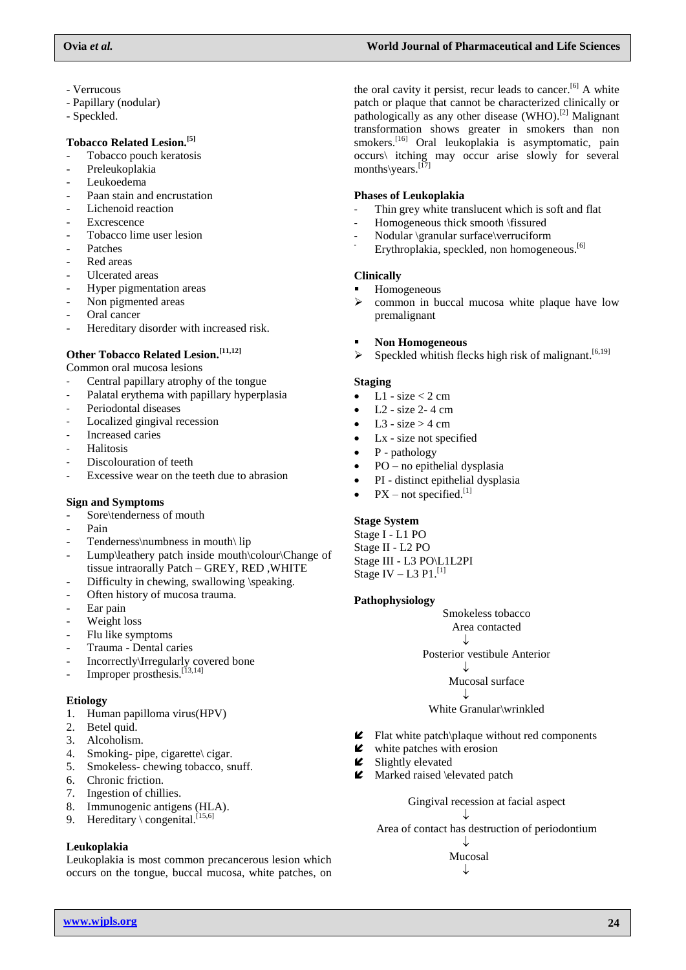- Verrucous
- Papillary (nodular)
- Speckled.

# **Tobacco Related Lesion.[5]**

- Tobacco pouch keratosis
- Preleukoplakia
- Leukoedema
- Paan stain and encrustation
- Lichenoid reaction
- **Excrescence**
- Tobacco lime user lesion
- **Patches**
- Red areas
- Ulcerated areas
- Hyper pigmentation areas
- Non pigmented areas
- Oral cancer
- Hereditary disorder with increased risk.

# **Other Tobacco Related Lesion.[11,12]**

Common oral mucosa lesions

- Central papillary atrophy of the tongue
- Palatal erythema with papillary hyperplasia
- Periodontal diseases
- Localized gingival recession
- Increased caries
- **Halitosis**
- Discolouration of teeth
- Excessive wear on the teeth due to abrasion

# **Sign and Symptoms**

- Sore\tenderness of mouth
- Pain
- Tenderness\numbness in mouth\ lip
- Lump\leathery patch inside mouth\colour\Change of tissue intraorally Patch – GREY, RED ,WHITE
- Difficulty in chewing, swallowing \speaking.
- Often history of mucosa trauma.
- Ear pain
- Weight loss
- Flu like symptoms
- Trauma Dental caries
- Incorrectly\Irregularly covered bone
- Improper prosthesis.<sup>[13,14]</sup>

### **Etiology**

- 1. Human papilloma virus(HPV)
- 2. Betel quid.
- 3. Alcoholism.
- 4. Smoking- pipe, cigarette\ cigar.
- 5. Smokeless- chewing tobacco, snuff.
- 6. Chronic friction.
- 7. Ingestion of chillies.
- 8. Immunogenic antigens (HLA).
- 9. Hereditary \congenital.<sup>[15,6]</sup>

# **Leukoplakia**

Leukoplakia is most common precancerous lesion which occurs on the tongue, buccal mucosa, white patches, on the oral cavity it persist, recur leads to cancer.<sup>[6]</sup> A white patch or plaque that cannot be characterized clinically or pathologically as any other disease (WHO).[2] Malignant transformation shows greater in smokers than non smokers.<sup>[16]</sup> Oral leukoplakia is asymptomatic, pain occurs\ itching may occur arise slowly for several months\years.<sup>[17]</sup>

### **Phases of Leukoplakia**

- Thin grey white translucent which is soft and flat
- Homogeneous thick smooth \fissured
- Nodular \granular surface\verruciform
- Erythroplakia, speckled, non homogeneous.<sup>[6]</sup>

# **Clinically**

- Homogeneous
- $\triangleright$  common in buccal mucosa white plaque have low premalignant
- **Non Homogeneous**
- $\triangleright$  Speckled whitish flecks high risk of malignant.<sup>[6,19]</sup>

# **Staging**

- $\bullet$  L1 size < 2 cm
- L2 size 2- 4 cm
- L3 size  $>$  4 cm
- Lx size not specified
- P pathology
- PO no epithelial dysplasia
- PI distinct epithelial dysplasia
- $PX$  not specified.<sup>[1]</sup>

# **Stage System**

Stage I - L1 PO Stage II - L2 PO Stage III - L3 PO\L1L2PI Stage IV  $-$  L3 P1.<sup>[1]</sup>

### **Pathophysiology**

Smokeless tobacco Area contacted ↓ Posterior vestibule Anterior  $\downarrow$ Mucosal surface ↓ White Granular\wrinkled

- $\blacktriangleright$  Flat white patch\plaque without red components
- white patches with erosion
- $\blacktriangleright$  Slightly elevated
- **■** Marked raised \elevated patch

Gingival recession at facial aspect ↓ Area of contact has destruction of periodontium

J Mucosal ↓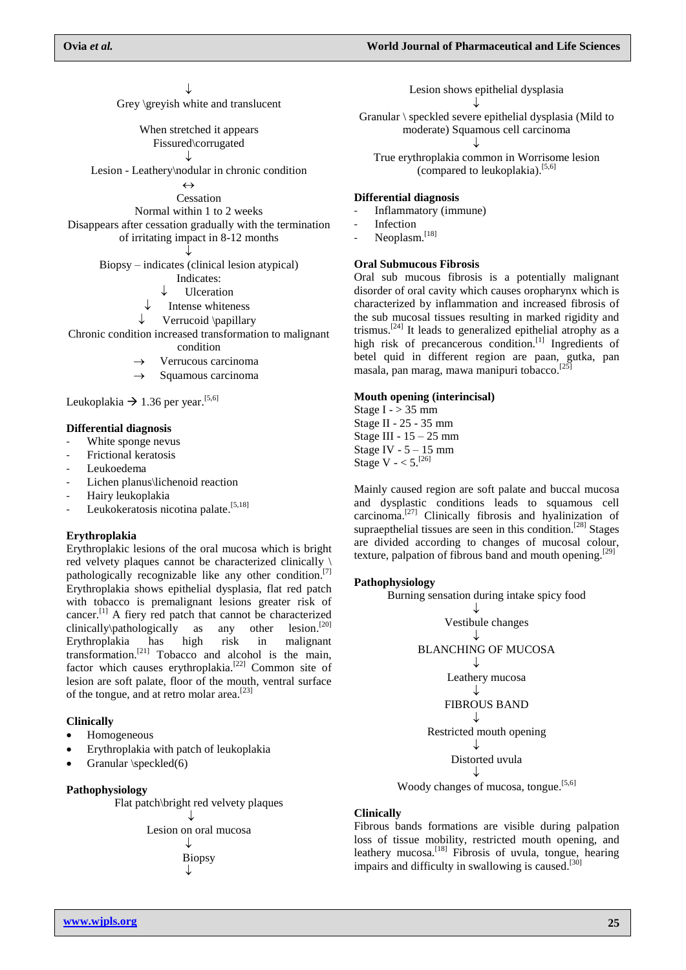↓

Grey \greyish white and translucent

When stretched it appears Fissured\corrugated ↓

Lesion - Leathery\nodular in chronic condition

 $\leftrightarrow$ 

Cessation

Normal within 1 to 2 weeks

Disappears after cessation gradually with the termination of irritating impact in 8-12 months

> ↓ Biopsy – indicates (clinical lesion atypical)

- Indicates:
- Ulceration
- Intense whiteness
- Verrucoid \papillary

Chronic condition increased transformation to malignant condition

- Verrucous carcinoma
- Squamous carcinoma

Leukoplakia  $\rightarrow$  1.36 per year.<sup>[5,6]</sup>

#### **Differential diagnosis**

- White sponge nevus
- Frictional keratosis
- Leukoedema
- Lichen planus\lichenoid reaction
- Hairy leukoplakia
- Leukokeratosis nicotina palate.<sup>[5,18]</sup>

#### **Erythroplakia**

Erythroplakic lesions of the oral mucosa which is bright red velvety plaques cannot be characterized clinically \ pathologically recognizable like any other condition.<sup>[7]</sup> Erythroplakia shows epithelial dysplasia, flat red patch with tobacco is premalignant lesions greater risk of cancer.[1] A fiery red patch that cannot be characterized clinically\pathologically as any other  $lesion.<sup>[20]</sup>$ Erythroplakia has high risk in malignant transformation. [21] Tobacco and alcohol is the main, factor which causes erythroplakia.<sup>[22]</sup> Common site of lesion are soft palate, floor of the mouth, ventral surface of the tongue, and at retro molar area.<sup>[23]</sup>

#### **Clinically**

- Homogeneous
- Erythroplakia with patch of leukoplakia
- Granular \speckled(6)

#### **Pathophysiology**

Flat patch\bright red velvety plaques

 $\cdot$ I. Lesion on oral mucosa ↓ Biopsy ↓

Lesion shows epithelial dysplasia ↓

Granular \ speckled severe epithelial dysplasia (Mild to moderate) Squamous cell carcinoma ↓

True erythroplakia common in Worrisome lesion (compared to leukoplakia). [5,6]

### **Differential diagnosis**

- Inflammatory (immune)

- **Infection**
- Neoplasm.<sup>[18]</sup>

#### **Oral Submucous Fibrosis**

Oral sub mucous fibrosis is a potentially malignant disorder of oral cavity which causes oropharynx which is characterized by inflammation and increased fibrosis of the sub mucosal tissues resulting in marked rigidity and trismus.[24] It leads to generalized epithelial atrophy as a high risk of precancerous condition.<sup>[1]</sup> Ingredients of betel quid in different region are paan, gutka, pan masala, pan marag, mawa manipuri tobacco. [25]

#### **Mouth opening (interincisal)**

Stage I -  $> 35$  mm Stage II - 25 - 35 mm Stage III - 15 – 25 mm Stage IV -  $5 - 15$  mm Stage V -  $< 5$ . [26]

Mainly caused region are soft palate and buccal mucosa and dysplastic conditions leads to squamous cell carcinoma. [27] Clinically fibrosis and hyalinization of supraepthelial tissues are seen in this condition.<sup>[28]</sup> Stages are divided according to changes of mucosal colour, texture, palpation of fibrous band and mouth opening.<sup>[29]</sup>

#### **Pathophysiology**

Burning sensation during intake spicy food



Woody changes of mucosa, tongue.<sup>[5,6]</sup>

#### **Clinically**

Fibrous bands formations are visible during palpation loss of tissue mobility, restricted mouth opening, and leathery mucosa.<sup>[18]</sup> Fibrosis of uvula, tongue, hearing impairs and difficulty in swallowing is caused.<sup>[30]</sup>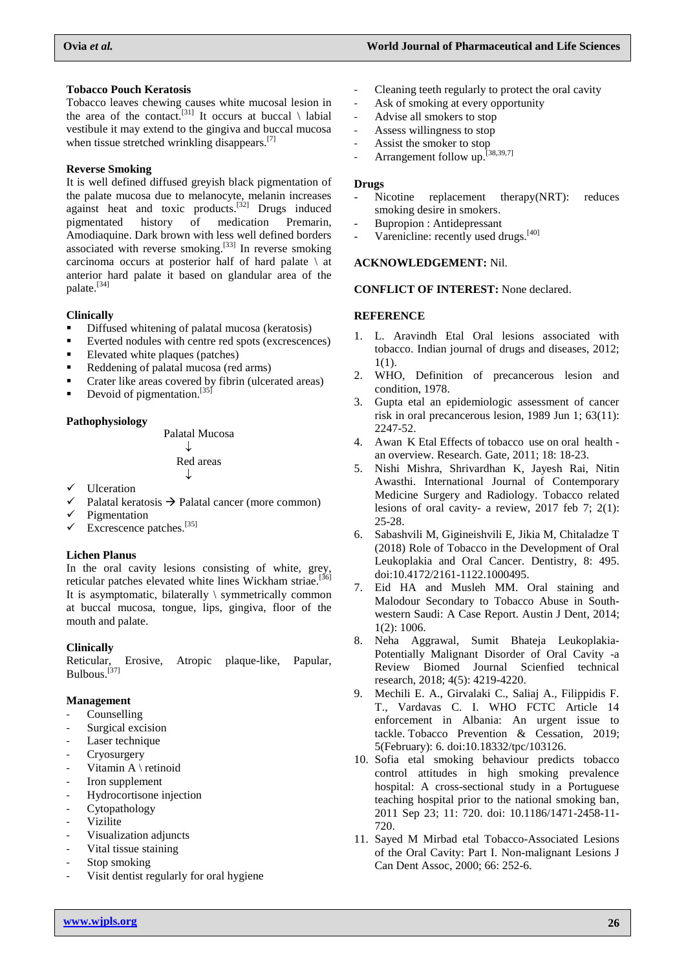### **Tobacco Pouch Keratosis**

Tobacco leaves chewing causes white mucosal lesion in the area of the contact.<sup>[31]</sup> It occurs at buccal  $\setminus$  labial vestibule it may extend to the gingiva and buccal mucosa when tissue stretched wrinkling disappears.<sup>[7]</sup>

# **Reverse Smoking**

It is well defined diffused greyish black pigmentation of the palate mucosa due to melanocyte, melanin increases against heat and toxic products.<sup>[32]</sup> Drugs induced pigmentated history of medication Premarin, pigmentated history of medication Premarin, Amodiaquine. Dark brown with less well defined borders associated with reverse smoking.<sup>[33]</sup> In reverse smoking carcinoma occurs at posterior half of hard palate  $\setminus$  at anterior hard palate it based on glandular area of the palate.<sup>[34]</sup>

# **Clinically**

- **•** Diffused whitening of palatal mucosa (keratosis)
- Everted nodules with centre red spots (excrescences)
- Elevated white plaques (patches)
- Reddening of palatal mucosa (red arms)
- **Crater like areas covered by fibrin (ulcerated areas)**
- **Devoid of pigmentation.**<sup>[35]</sup>

# **Pathophysiology**

Palatal Mucosa ↓ Red areas ↓

- Ulceration
- Palatal keratosis  $\rightarrow$  Palatal cancer (more common)
- $\checkmark$  Pigmentation
- $\checkmark$  Excrescence patches.<sup>[35]</sup>

# **Lichen Planus**

In the oral cavity lesions consisting of white, grey, reticular patches elevated white lines Wickham striae.<sup>[36]</sup> It is asymptomatic, bilaterally  $\setminus$  symmetrically common at buccal mucosa, tongue, lips, gingiva, floor of the mouth and palate.

# **Clinically**

Reticular, Erosive, Atropic plaque-like, Papular, Bulbous.<sup>[37]</sup>

### **Management**

- **Counselling**
- Surgical excision
- Laser technique
- Cryosurgery
- Vitamin A \ retinoid
- Iron supplement
- Hydrocortisone injection
- Cytopathology
- **Vizilite**
- Visualization adjuncts
- Vital tissue staining
- Stop smoking
- Visit dentist regularly for oral hygiene
- Cleaning teeth regularly to protect the oral cavity
- Ask of smoking at every opportunity
- Advise all smokers to stop
- Assess willingness to stop
- Assist the smoker to stop
- Arrangement follow up.<sup>[38,39,7]</sup>

### **Drugs**

- Nicotine replacement therapy(NRT): reduces smoking desire in smokers.
- Bupropion : Antidepressant
- Varenicline: recently used drugs.<sup>[40]</sup>

### **ACKNOWLEDGEMENT:** Nil.

### **CONFLICT OF INTEREST:** None declared.

# **REFERENCE**

- 1. L. Aravindh Etal Oral lesions associated with tobacco. Indian journal of drugs and diseases, 2012; 1(1).
- 2. WHO, Definition of precancerous lesion and condition, 1978.
- 3. Gupta etal an epidemiologic assessment of cancer risk in oral precancerous lesio[n,](https://www.ncbi.nlm.nih.gov/pubmed/2720574) 1989 Jun 1; 63(11): 2247-52.
- 4. Awan K Etal Effects of tobacco use on oral health an overview. Research. Gate, 2011; 18: 18-23.
- 5. Nishi Mishra, Shrivardhan K, Jayesh Rai, Nitin Awasthi. International Journal of Contemporary Medicine Surgery and Radiology. Tobacco related lesions of oral cavity- a review, 2017 feb 7; 2(1): 25-28.
- 6. Sabashvili M, Gigineishvili E, Jikia M, Chitaladze T (2018) Role of Tobacco in the Development of Oral Leukoplakia and Oral Cancer. Dentistry, 8: 495. doi:10.4172/2161-1122.1000495.
- 7. Eid HA and Musleh MM. Oral staining and Malodour Secondary to Tobacco Abuse in Southwestern Saudi: A Case Report. Austin J Dent, 2014; 1(2): 1006.
- 8. Neha Aggrawal, Sumit Bhateja Leukoplakia-Potentially Malignant Disorder of Oral Cavity -a Review Biomed Journal Scienfied technical research, 2018; 4(5): 4219-4220.
- 9. Mechili E. A., Girvalaki C., Saliaj A., Filippidis F. T., Vardavas C. I. WHO FCTC Article 14 enforcement in Albania: An urgent issue to tackle. Tobacco Prevention & Cessation, 2019; 5(February): 6. doi:10.18332/tpc/103126.
- 10. Sofia etal smoking behaviour predicts tobacco control attitudes in high smoking prevalence hospital: A cross-sectional study in a Portuguese teaching hospital prior to the national smoking ban, 2011 Sep 23; 11: 720. doi: 10.1186/1471-2458-11- 720.
- 11. Sayed M Mirbad etal Tobacco-Associated Lesions of the Oral Cavity: Part I. Non-malignant Lesions J Can Dent Assoc, 2000; 66: 252-6.